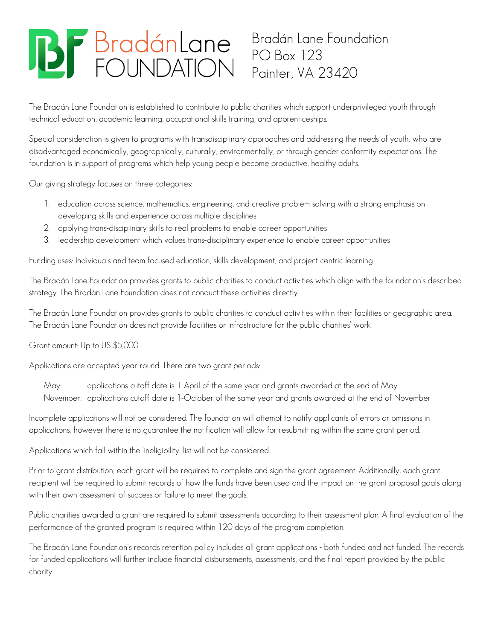# **BF** BradánLane

Bradán Lane Foundation PO Box 123 Painter, VA 23420

The Bradán Lane Foundation is established to contribute to public charities which support underprivileged youth through technical education, academic learning, occupational skills training, and apprenticeships.

Special consideration is given to programs with transdisciplinary approaches and addressing the needs of youth, who are disadvantaged economically, geographically, culturally, environmentally, or through gender conformity expectations. The foundation is in support of programs which help young people become productive, healthy adults.

Our giving strategy focuses on three categories:

- 1. education across science, mathematics, engineering, and creative problem solving with a strong emphasis on developing skills and experience across multiple disciplines
- 2. applying trans-disciplinary skills to real problems to enable career opportunities
- 3. leadership development which values trans-disciplinary experience to enable career opportunities

Funding uses: Individuals and team focused education, skills development, and project centric learning

The Bradán Lane Foundation provides grants to public charities to conduct activities which align with the foundation's described strategy. The Bradán Lane Foundation does not conduct these activities directly.

The Bradán Lane Foundation provides grants to public charities to conduct activities within their facilities or geographic area. The Bradán Lane Foundation does not provide facilities or infrastructure for the public charities' work.

Grant amount: Up to US \$5,000

Applications are accepted year-round. There are two grant periods:

May: applications cutoff date is 1-April of the same year and grants awarded at the end of May November: applications cutoff date is 1-October of the same year and grants awarded at the end of November

Incomplete applications will not be considered. The foundation will attempt to notify applicants of errors or omissions in applications, however there is no guarantee the notification will allow for resubmitting within the same grant period.

Applications which fall within the 'ineligibility' list will not be considered.

Prior to grant distribution, each grant will be required to complete and sign the grant agreement. Additionally, each grant recipient will be required to submit records of how the funds have been used and the impact on the grant proposal goals along with their own assessment of success or failure to meet the goals.

Public charities awarded a grant are required to submit assessments according to their assessment plan. A final evaluation of the performance of the granted program is required within 120 days of the program completion.

The Bradán Lane Foundation's records retention policy includes all grant applications - both funded and not funded. The records for funded applications will further include financial disbursements, assessments, and the final report provided by the public charity.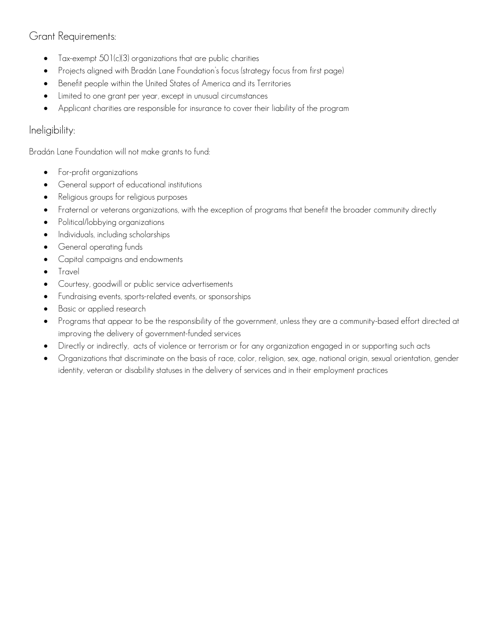# Grant Requirements:

- Tax-exempt 501(c)(3) organizations that are public charities
- Projects aligned with Bradán Lane Foundation's focus (strategy focus from first page)
- Benefit people within the United States of America and its Territories
- Limited to one grant per year, except in unusual circumstances
- Applicant charities are responsible for insurance to cover their liability of the program

## Ineligibility:

Bradán Lane Foundation will not make grants to fund:

- **•** For-profit organizations
- **•** General support of educational institutions
- Religious groups for religious purposes
- Fraternal or veterans organizations, with the exception of programs that benefit the broader community directly
- Political/lobbying organizations
- Individuals, including scholarships
- General operating funds
- Capital campaigns and endowments
- **Travel**
- Courtesy, goodwill or public service advertisements
- Fundraising events, sports-related events, or sponsorships
- Basic or applied research
- Programs that appear to be the responsibility of the government, unless they are a community-based effort directed at improving the delivery of government-funded services
- Directly or indirectly, acts of violence or terrorism or for any organization engaged in or supporting such acts
- Organizations that discriminate on the basis of race, color, religion, sex, age, national origin, sexual orientation, gender identity, veteran or disability statuses in the delivery of services and in their employment practices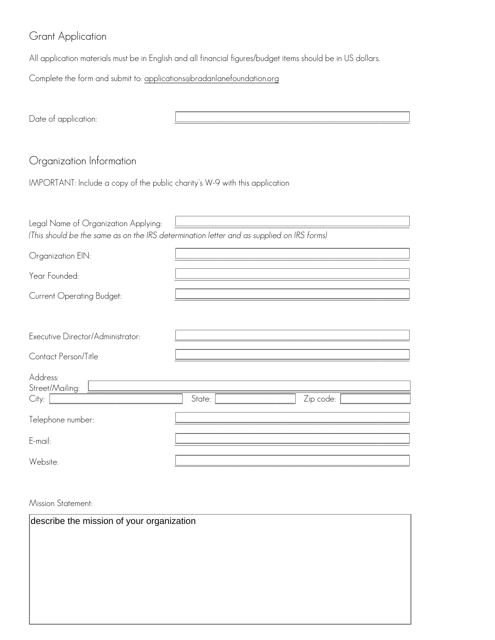# Grant Application

All application materials must be in English and all financial figures/budget items should be in US dollars.

Complete the form and submit to: [applications@bradanlanefoundation.org](mailto:applications@bradanlanefoundation.org)

| Date of application:                                                                      |        |           |  |  |  |
|-------------------------------------------------------------------------------------------|--------|-----------|--|--|--|
|                                                                                           |        |           |  |  |  |
|                                                                                           |        |           |  |  |  |
| Organization Information                                                                  |        |           |  |  |  |
| IMPORTANT: Include a copy of the public charity's W-9 with this application               |        |           |  |  |  |
|                                                                                           |        |           |  |  |  |
| Legal Name of Organization Applying:                                                      |        |           |  |  |  |
| (This should be the same as on the IRS determination letter and as supplied on IRS forms) |        |           |  |  |  |
| Organization EIN:                                                                         |        |           |  |  |  |
| Year Founded:                                                                             |        |           |  |  |  |
| Current Operating Budget:                                                                 |        |           |  |  |  |
|                                                                                           |        |           |  |  |  |
| Executive Director/Administrator:                                                         |        |           |  |  |  |
| Contact Person/Title                                                                      |        |           |  |  |  |
| Address:                                                                                  |        |           |  |  |  |
| Street/Mailing:                                                                           |        |           |  |  |  |
| City:                                                                                     | State: | Zip code: |  |  |  |
| Telephone number:                                                                         |        |           |  |  |  |
| E-mail:                                                                                   |        |           |  |  |  |
| Website:                                                                                  |        |           |  |  |  |

Mission Statement:

| describe the mission of your organization |  |  |  |  |
|-------------------------------------------|--|--|--|--|
|                                           |  |  |  |  |
|                                           |  |  |  |  |
|                                           |  |  |  |  |
|                                           |  |  |  |  |
|                                           |  |  |  |  |
|                                           |  |  |  |  |
|                                           |  |  |  |  |
|                                           |  |  |  |  |
|                                           |  |  |  |  |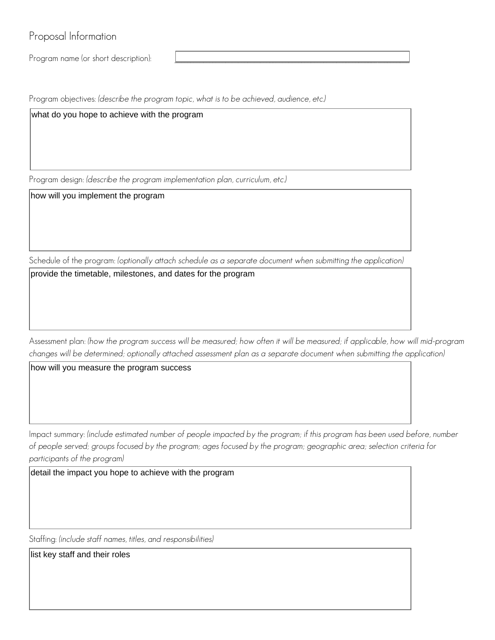Proposal Information

Program name (or short description):

Program objectives: *(describe the program topic, what is to be achieved, audience, etc.)*

what do you hope to achieve with the program

Program design: *(describe the program implementation plan, curriculum, etc.)*

how will you implement the program

Schedule of the program: *(optionally attach schedule as a separate document when submitting the application)*

provide the timetable, milestones, and dates for the program

Assessment plan: *(how the program success will be measured; how often it will be measured; if applicable, how will mid-program changes will be determined; optionally attached assessment plan as a separate document when submitting the application)*

how will you measure the program success

Impact summary: *(include estimated number of people impacted by the program; if this program has been used before, number of people served; groups focused by the program; ages focused by the program; geographic area; selection criteria for participants of the program)*

detail the impact you hope to achieve with the program

Staffing: *(include staff names, titles, and responsibilities)*

list key staff and their roles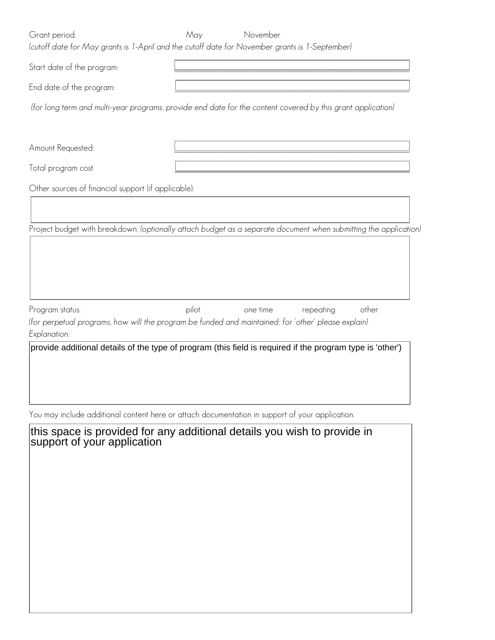| Grant period:                                       | May<br>November<br>(cutoff date for May grants is 1-April and the cutoff date for November grants is 1-September) |
|-----------------------------------------------------|-------------------------------------------------------------------------------------------------------------------|
| Start date of the program:                          |                                                                                                                   |
| End date of the program:                            |                                                                                                                   |
|                                                     | (for long term and multi-year programs, provide end date for the content covered by this grant application)       |
|                                                     |                                                                                                                   |
| Amount Requested:                                   |                                                                                                                   |
| Total program cost                                  |                                                                                                                   |
| Other sources of financial support (if applicable): |                                                                                                                   |
|                                                     |                                                                                                                   |
|                                                     | Project budget with breakdown: (optionally attach budget as a separate document when submitting the application)  |
| Program status:                                     | pilot<br>one time<br>other<br>repeating                                                                           |
| Explanation:                                        | (for perpetual programs, how will the program be funded and maintained; for 'other' please explain)               |
|                                                     | provide additional details of the type of program (this field is required if the program type is 'other')         |

You may include additional content here or attach documentation in support of your application.

| this space is provided for any additional details you wish to provide in support of your application |
|------------------------------------------------------------------------------------------------------|
|                                                                                                      |
|                                                                                                      |
|                                                                                                      |
|                                                                                                      |
|                                                                                                      |
|                                                                                                      |